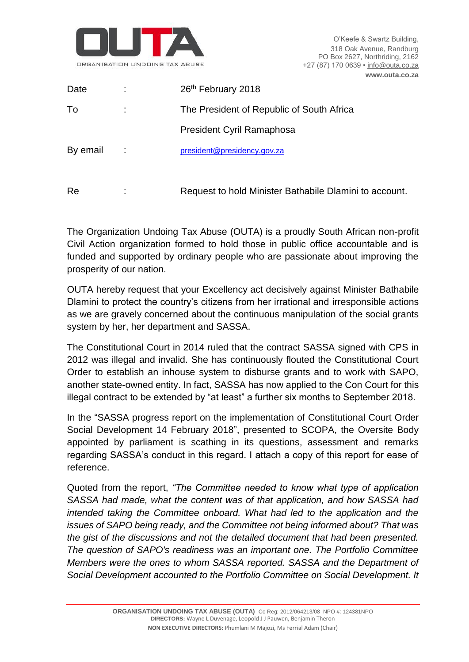

| Date     |                     | 26th February 2018                                     |
|----------|---------------------|--------------------------------------------------------|
| To       | t                   | The President of Republic of South Africa              |
|          |                     | President Cyril Ramaphosa                              |
| By email |                     | president@presidency.gov.za                            |
|          |                     |                                                        |
| Re       | ٠<br>$\blacksquare$ | Request to hold Minister Bathabile Dlamini to account. |

The Organization Undoing Tax Abuse (OUTA) is a proudly South African non-profit Civil Action organization formed to hold those in public office accountable and is funded and supported by ordinary people who are passionate about improving the prosperity of our nation.

OUTA hereby request that your Excellency act decisively against Minister Bathabile Dlamini to protect the country's citizens from her irrational and irresponsible actions as we are gravely concerned about the continuous manipulation of the social grants system by her, her department and SASSA.

The Constitutional Court in 2014 ruled that the contract SASSA signed with CPS in 2012 was illegal and invalid. She has continuously flouted the Constitutional Court Order to establish an inhouse system to disburse grants and to work with SAPO, another state-owned entity. In fact, SASSA has now applied to the Con Court for this illegal contract to be extended by "at least" a further six months to September 2018.

In the "SASSA progress report on the implementation of Constitutional Court Order Social Development 14 February 2018", presented to SCOPA, the Oversite Body appointed by parliament is scathing in its questions, assessment and remarks regarding SASSA's conduct in this regard. I attach a copy of this report for ease of reference.

Quoted from the report, *"The Committee needed to know what type of application SASSA had made, what the content was of that application, and how SASSA had intended taking the Committee onboard. What had led to the application and the issues of SAPO being ready, and the Committee not being informed about? That was the gist of the discussions and not the detailed document that had been presented. The question of SAPO's readiness was an important one. The Portfolio Committee Members were the ones to whom SASSA reported. SASSA and the Department of Social Development accounted to the Portfolio Committee on Social Development. It*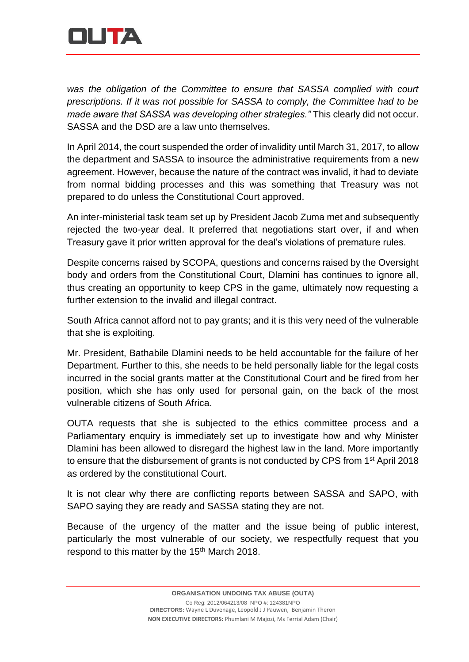

*was the obligation of the Committee to ensure that SASSA complied with court prescriptions. If it was not possible for SASSA to comply, the Committee had to be made aware that SASSA was developing other strategies."* This clearly did not occur. SASSA and the DSD are a law unto themselves.

In April 2014, the court suspended the order of invalidity until March 31, 2017, to allow the department and SASSA to insource the administrative requirements from a new agreement. However, because the nature of the contract was invalid, it had to deviate from normal bidding processes and this was something that Treasury was not prepared to do unless the Constitutional Court approved.

An inter-ministerial task team set up by President Jacob Zuma met and subsequently rejected the two-year deal. It preferred that negotiations start over, if and when Treasury gave it prior written approval for the deal's violations of premature rules.

Despite concerns raised by SCOPA, questions and concerns raised by the Oversight body and orders from the Constitutional Court, Dlamini has continues to ignore all, thus creating an opportunity to keep CPS in the game, ultimately now requesting a further extension to the invalid and illegal contract.

South Africa cannot afford not to pay grants; and it is this very need of the vulnerable that she is exploiting.

Mr. President, Bathabile Dlamini needs to be held accountable for the failure of her Department. Further to this, she needs to be held personally liable for the legal costs incurred in the social grants matter at the Constitutional Court and be fired from her position, which she has only used for personal gain, on the back of the most vulnerable citizens of South Africa.

OUTA requests that she is subjected to the ethics committee process and a Parliamentary enquiry is immediately set up to investigate how and why Minister Dlamini has been allowed to disregard the highest law in the land. More importantly to ensure that the disbursement of grants is not conducted by CPS from 1<sup>st</sup> April 2018 as ordered by the constitutional Court.

It is not clear why there are conflicting reports between SASSA and SAPO, with SAPO saying they are ready and SASSA stating they are not.

Because of the urgency of the matter and the issue being of public interest, particularly the most vulnerable of our society, we respectfully request that you respond to this matter by the 15<sup>th</sup> March 2018.